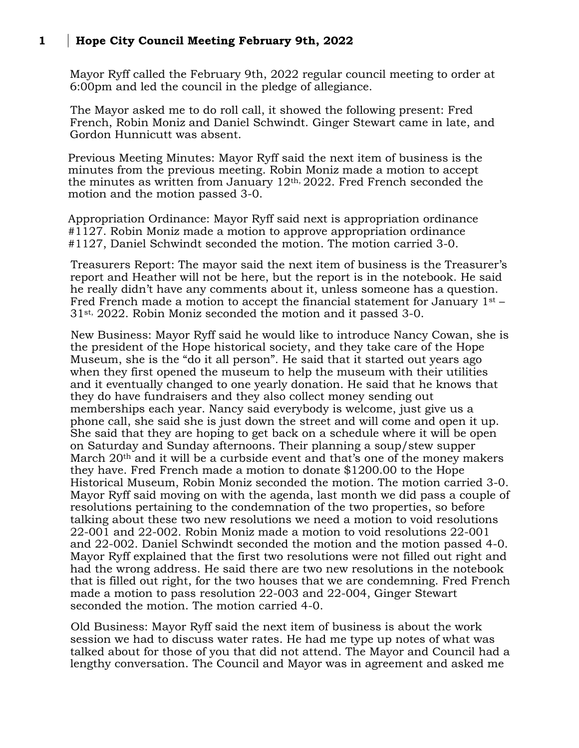## **1 Hope City Council Meeting February 9th, 2022**

Mayor Ryff called the February 9th, 2022 regular council meeting to order at 6:00pm and led the council in the pledge of allegiance.

The Mayor asked me to do roll call, it showed the following present: Fred French, Robin Moniz and Daniel Schwindt. Ginger Stewart came in late, and Gordon Hunnicutt was absent.

Previous Meeting Minutes: Mayor Ryff said the next item of business is the minutes from the previous meeting. Robin Moniz made a motion to accept the minutes as written from January 12th, 2022. Fred French seconded the motion and the motion passed 3-0.

Appropriation Ordinance: Mayor Ryff said next is appropriation ordinance  $\#1127$ . Robin Moniz made a motion to approve appropriation ordinance #1127, Daniel Schwindt seconded the motion. The motion carried 3-0.

Treasurers Report: The mayor said the next item of business is the Treasurer's report and Heather will not be here, but the report is in the notebook. He said he really didn't have any comments about it, unless someone has a question. Fred French made a motion to accept the financial statement for January  $1<sup>st</sup>$  – 31st, 2022. Robin Moniz seconded the motion and it passed 3-0.

New Business: Mayor Ryff said he would like to introduce Nancy Cowan, she is the president of the Hope historical society, and they take care of the Hope Museum, she is the "do it all person". He said that it started out years ago when they first opened the museum to help the museum with their utilities and it eventually changed to one yearly donation. He said that he knows that they do have fundraisers and they also collect money sending out memberships each year. Nancy said everybody is welcome, just give us a phone call, she said she is just down the street and will come and open it up. She said that they are hoping to get back on a schedule where it will be open on Saturday and Sunday afternoons. Their planning a soup/stew supper March 20<sup>th</sup> and it will be a curbside event and that's one of the money makers they have. Fred French made a motion to donate \$1200.00 to the Hope Historical Museum, Robin Moniz seconded the motion. The motion carried 3-0. Mayor Ryff said moving on with the agenda, last month we did pass a couple of resolutions pertaining to the condemnation of the two properties, so before talking about these two new resolutions we need a motion to void resolutions 22-001 and 22-002. Robin Moniz made a motion to void resolutions 22-001 and 22-002. Daniel Schwindt seconded the motion and the motion passed 4-0. Mayor Ryff explained that the first two resolutions were not filled out right and had the wrong address. He said there are two new resolutions in the notebook that is filled out right, for the two houses that we are condemning. Fred French made a motion to pass resolution 22-003 and 22-004, Ginger Stewart seconded the motion. The motion carried 4-0.

Old Business: Mayor Ryff said the next item of business is about the work session we had to discuss water rates. He had me type up notes of what was talked about for those of you that did not attend. The Mayor and Council had a lengthy conversation. The Council and Mayor was in agreement and asked me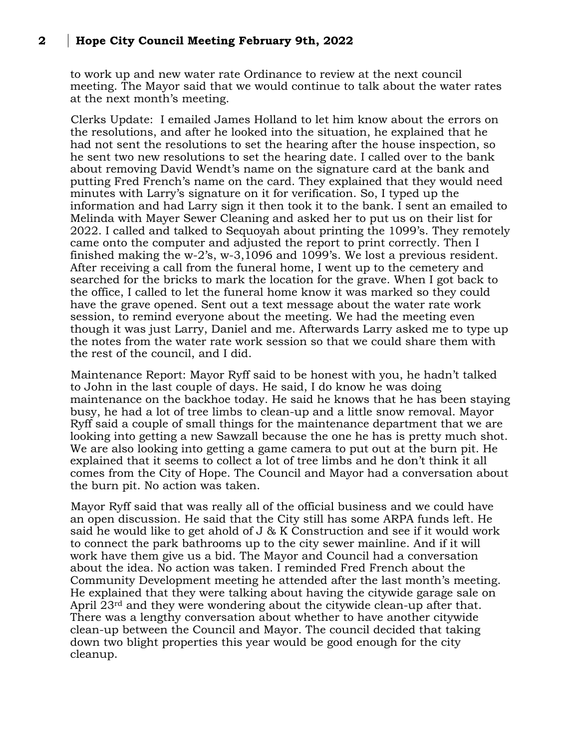## **2 Hope City Council Meeting February 9th, 2022**

to work up and new water rate Ordinance to review at the next council meeting. The Mayor said that we would continue to talk about the water rates at the next month's meeting.

Clerks Update: I emailed James Holland to let him know about the errors on the resolutions, and after he looked into the situation, he explained that he had not sent the resolutions to set the hearing after the house inspection, so he sent two new resolutions to set the hearing date. I called over to the bank about removing David Wendt's name on the signature card at the bank and putting Fred French's name on the card. They explained that they would need minutes with Larry's signature on it for verification. So, I typed up the information and had Larry sign it then took it to the bank. I sent an emailed to Melinda with Mayer Sewer Cleaning and asked her to put us on their list for 2022. I called and talked to Sequoyah about printing the 1099's. They remotely came onto the computer and adjusted the report to print correctly. Then I finished making the w-2's, w-3,1096 and 1099's. We lost a previous resident. After receiving a call from the funeral home, I went up to the cemetery and searched for the bricks to mark the location for the grave. When I got back to the office, I called to let the funeral home know it was marked so they could have the grave opened. Sent out a text message about the water rate work session, to remind everyone about the meeting. We had the meeting even though it was just Larry, Daniel and me. Afterwards Larry asked me to type up the notes from the water rate work session so that we could share them with the rest of the council, and I did.

Maintenance Report: Mayor Ryff said to be honest with you, he hadn't talked to John in the last couple of days. He said, I do know he was doing maintenance on the backhoe today. He said he knows that he has been staying busy, he had a lot of tree limbs to clean-up and a little snow removal. Mayor Ryff said a couple of small things for the maintenance department that we are looking into getting a new Sawzall because the one he has is pretty much shot. We are also looking into getting a game camera to put out at the burn pit. He explained that it seems to collect a lot of tree limbs and he don't think it all comes from the City of Hope. The Council and Mayor had a conversation about the burn pit. No action was taken.

Mayor Ryff said that was really all of the official business and we could have an open discussion. He said that the City still has some ARPA funds left. He said he would like to get ahold of J & K Construction and see if it would work to connect the park bathrooms up to the city sewer mainline. And if it will work have them give us a bid. The Mayor and Council had a conversation about the idea. No action was taken. I reminded Fred French about the Community Development meeting he attended after the last month's meeting. He explained that they were talking about having the citywide garage sale on April 23rd and they were wondering about the citywide clean-up after that. There was a lengthy conversation about whether to have another citywide clean-up between the Council and Mayor. The council decided that taking down two blight properties this year would be good enough for the city cleanup.